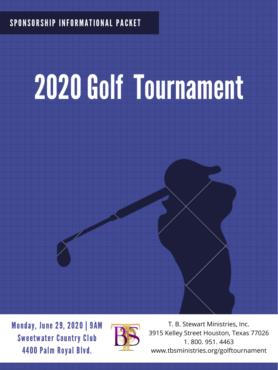## SPONSORSHIP INFORMATIONAL PACKET

# 2020 Golf Tournament



Monday, June 29, 2020 | 9AM Sweetwater Country Club 4400 Palm Royal Blvd.



T. B. Stewart Ministries, Inc. 3915 Kelley Street Houston, Texas 77026 1. 800. 951. 4463 www.tbsministries.org/golftournament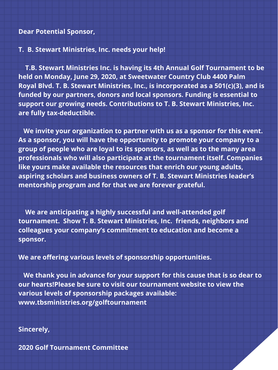#### **Dear Potential Sponsor,**

#### **T. B. Stewart Ministries, Inc. needs your help!**

**T.B. Stewart Ministries Inc. is having its 4th Annual Golf Tournament to be held on Monday, June 29, 2020, at Sweetwater Country Club 4400 Palm Royal Blvd. T. B. Stewart Ministries, Inc., is incorporated as a 501(c)(3), and is funded by our partners, donors and local sponsors. Funding is essential to support our growing needs. Contributions to T. B. Stewart Ministries, Inc. are fully tax-deductible.**

**We invite your organization to partner with us as a sponsor for this event. As a sponsor, you will have the opportunity to promote your company to a group of people who are loyal to its sponsors, as well as to the many area professionals who will also participate at the tournament itself. Companies like yours make available the resources that enrich our young adults, aspiring scholars and business owners of T. B. Stewart Ministries leader's mentorship program and for that we are forever grateful.**

**We are anticipating a highly successful and well-attended golf tournament. Show T. B. Stewart Ministries, Inc. friends, neighbors and colleagues your company's commitment to education and become a sponsor.**

**We are offering various levels of sponsorship opportunities.**

**We thank you in advance for your support for this cause that is so dear to our hearts!Please be sure to visit our tournament website to view the various levels of sponsorship packages available: www.tbsministries.org/golftournament**

**Sincerely,**

**2020 Golf Tournament Committee**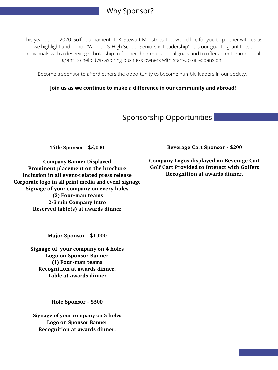**Beverage Cart Sponsor - \$200**

**Company Logos displayed on Beverage Cart Golf Cart Provided to Interact with Golfers Recognition at awards dinner.**

**Title Sponsor - \$5,000**

**Company Banner Displayed Prominent placement on the brochure Inclusion in all event-related press release Corporate logo in all print media and event signage Signage of your company on every holes**

> **(2) Four-man teams 2-3 min Company Intro Reserved table(s) at awards dinner**

> > **Major Sponsor - \$1,000**

**Signage of your company on 4 holes Logo on Sponsor Banner (1) Four-man teams Recognition at awards dinner. Table at awards dinner**

**Hole Sponsor - \$500**

**Signage of your company on 3 holes Logo on Sponsor Banner Recognition at awards dinner.**

This year at our 2020 Golf Tournament, T. B. Stewart Ministries, Inc. would like for you to partner with us as we highlight and honor "Women & High School Seniors in Leadership". It is our goal to grant these individuals with a deserving scholarship to further their educational goals and to offer an entrepreneurial grant to help two aspiring business owners with start-up or expansion.

Become a sponsor to afford others the opportunity to become humble leaders in our society.

**Join us as we continue to make a difference in our community and abroad!**

### Why Sponsor?

#### Sponsorship Opportunities